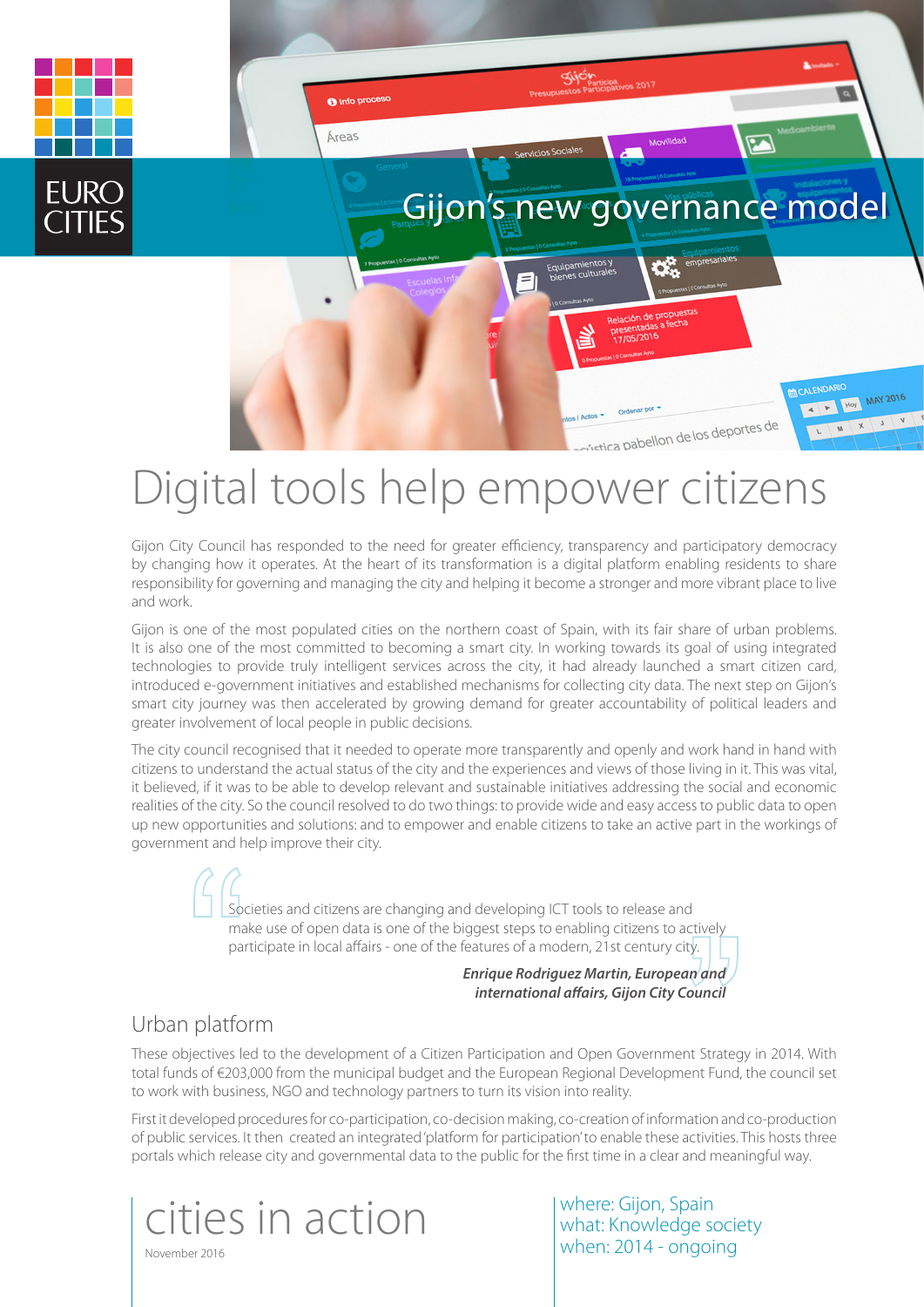

# Digital tools help empower citizens

Gijon City Council has responded to the need for greater efficiency, transparency and participatory democracy by changing how it operates. At the heart of its transformation is a digital platform enabling residents to share responsibility for governing and managing the city and helping it become a stronger and more vibrant place to live and work.

Gijon is one of the most populated cities on the northern coast of Spain, with its fair share of urban problems. It is also one of the most committed to becoming a smart city. In working towards its goal of using integrated technologies to provide truly intelligent services across the city, it had already launched a smart citizen card, introduced e-government initiatives and established mechanisms for collecting city data. The next step on Gijon's smart city journey was then accelerated by growing demand for greater accountability of political leaders and greater involvement of local people in public decisions.

The city council recognised that it needed to operate more transparently and openly and work hand in hand with citizens to understand the actual status of the city and the experiences and views of those living in it. This was vital, it believed, if it was to be able to develop relevant and sustainable initiatives addressing the social and economic realities of the city. So the council resolved to do two things: to provide wide and easy access to public data to open up new opportunities and solutions: and to empower and enable citizens to take an active part in the workings of government and help improve their city.

> Societies and citizens are changing and developing ICT tools to release and make use of open data is one of the biggest steps to enabling citizens to actively participate in local affairs - one of the features of a modern, 21st century city.

> > *Enrique Rodriguez Martin, European and international affairs, Gijon City Council*

## Urban platform

These objectives led to the development of a Citizen Participation and Open Government Strategy in 2014. With total funds of €203,000 from the municipal budget and the European Regional Development Fund, the council set to work with business, NGO and technology partners to turn its vision into reality.

First it developed procedures for co-participation, co-decision making, co-creation of information and co-production of public services. It then created an integrated 'platform for participation' to enable these activities. This hosts three portals which release city and governmental data to the public for the first time in a clear and meaningful way.



where: Gijon, Spain what: Knowledge society when: 2014 - ongoing